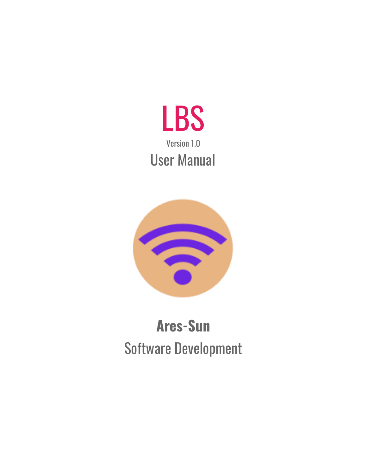



# **Ares-Sun** Software Development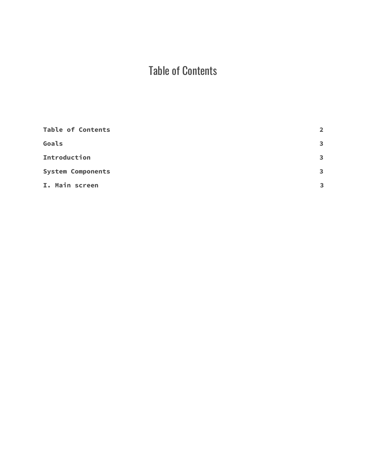## Table of Contents

<span id="page-1-0"></span>

| <b>Table of Contents</b> | $\overline{2}$          |
|--------------------------|-------------------------|
| Goals                    | $\overline{\mathbf{3}}$ |
| Introduction             | $\mathbf{3}$            |
| <b>System Components</b> | $\overline{\mathbf{3}}$ |
| I. Main screen           | 3                       |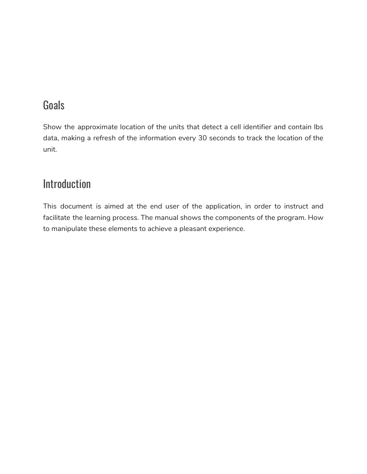### <span id="page-2-0"></span>**Goals**

Show the approximate location of the units that detect a cell identifier and contain lbs data, making a refresh of the information every 30 seconds to track the location of the unit.

#### <span id="page-2-1"></span>Introduction

<span id="page-2-2"></span>This document is aimed at the end user of the application, in order to instruct and facilitate the learning process. The manual shows the components of the program. How to manipulate these elements to achieve a pleasant experience.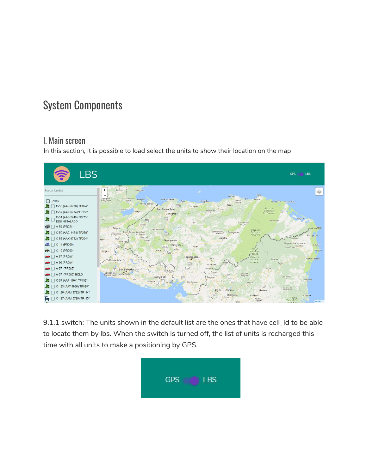### <span id="page-3-0"></span>System Components

#### I. Main screen

In this section, it is possible to load select the units to show their location on the map



9.1.1 switch: The units shown in the default list are the ones that have cell\_Id to be able to locate them by lbs. When the switch is turned off, the list of units is recharged this time with all units to make a positioning by GPS.

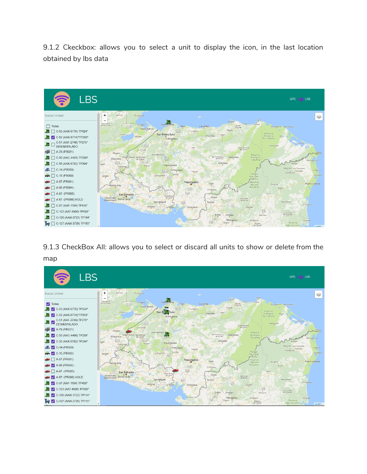9.1.2 Ckeckbox: allows you to select a unit to display the icon, in the last location obtained by lbs data



9.1.3 CheckBox All: allows you to select or discard all units to show or delete from the map

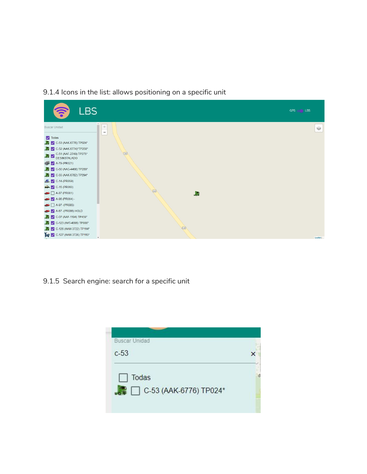9.1.4 Icons in the list: allows positioning on a specific unit



9.1.5 Search engine: search for a specific unit